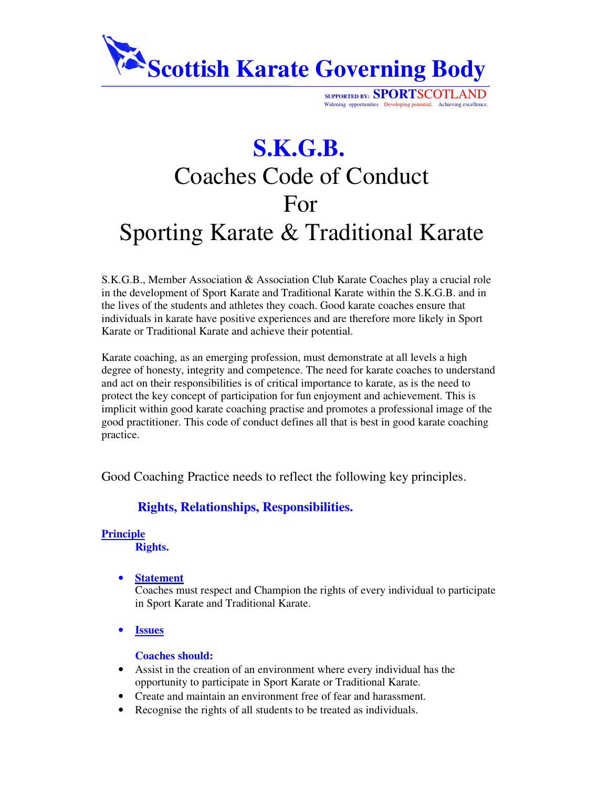

**SUPPORTED BY: SPORT**SCOTLAND Widening opportunities Developing potential. Achieving excellence

# **S.K.G.B.** Coaches Code of Conduct For Sporting Karate & Traditional Karate

S.K.G.B., Member Association & Association Club Karate Coaches play a crucial role in the development of Sport Karate and Traditional Karate within the S.K.G.B. and in the lives of the students and athletes they coach. Good karate coaches ensure that individuals in karate have positive experiences and are therefore more likely in Sport Karate or Traditional Karate and achieve their potential.

Karate coaching, as an emerging profession, must demonstrate at all levels a high degree of honesty, integrity and competence. The need for karate coaches to understand and act on their responsibilities is of critical importance to karate, as is the need to protect the key concept of participation for fun enjoyment and achievement. This is implicit within good karate coaching practise and promotes a professional image of the good practitioner. This code of conduct defines all that is best in good karate coaching practice.

Good Coaching Practice needs to reflect the following key principles.

# **Rights, Relationships, Responsibilities.**

## **Principle**

**Rights.**

• **Statement**

Coaches must respect and Champion the rights of every individual to participate in Sport Karate and Traditional Karate.

• **Issues**

## **Coaches should:**

- Assist in the creation of an environment where every individual has the opportunity to participate in Sport Karate or Traditional Karate.
- Create and maintain an environment free of fear and harassment.
- Recognise the rights of all students to be treated as individuals.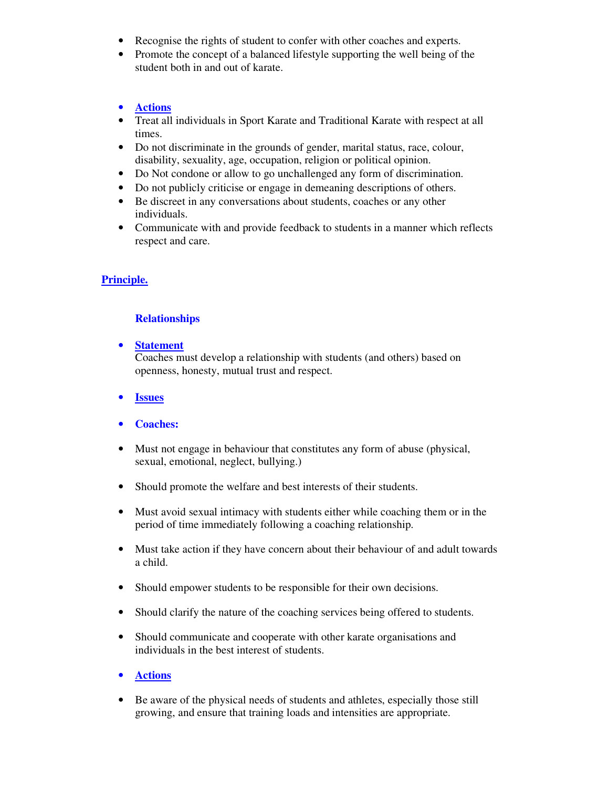- Recognise the rights of student to confer with other coaches and experts.
- Promote the concept of a balanced lifestyle supporting the well being of the student both in and out of karate.

#### • **Actions**

- Treat all individuals in Sport Karate and Traditional Karate with respect at all times.
- Do not discriminate in the grounds of gender, marital status, race, colour, disability, sexuality, age, occupation, religion or political opinion.
- Do Not condone or allow to go unchallenged any form of discrimination.
- Do not publicly criticise or engage in demeaning descriptions of others.
- Be discreet in any conversations about students, coaches or any other individuals.
- Communicate with and provide feedback to students in a manner which reflects respect and care.

#### **Principle.**

#### **Relationships**

• **Statement**

Coaches must develop a relationship with students (and others) based on openness, honesty, mutual trust and respect.

- **Issues**
- **Coaches:**
- Must not engage in behaviour that constitutes any form of abuse (physical, sexual, emotional, neglect, bullying.)
- Should promote the welfare and best interests of their students.
- Must avoid sexual intimacy with students either while coaching them or in the period of time immediately following a coaching relationship.
- Must take action if they have concern about their behaviour of and adult towards a child.
- Should empower students to be responsible for their own decisions.
- Should clarify the nature of the coaching services being offered to students.
- Should communicate and cooperate with other karate organisations and individuals in the best interest of students.
- **Actions**
- Be aware of the physical needs of students and athletes, especially those still growing, and ensure that training loads and intensities are appropriate.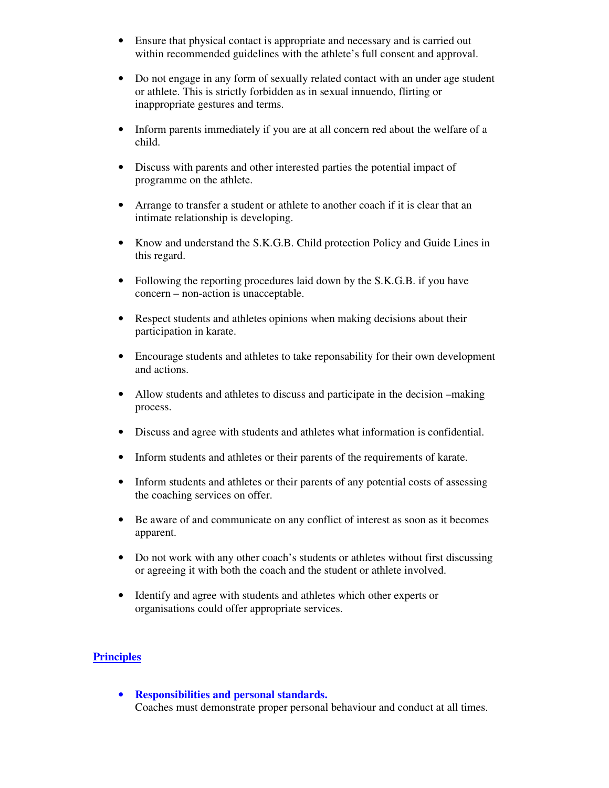- Ensure that physical contact is appropriate and necessary and is carried out within recommended guidelines with the athlete's full consent and approval.
- Do not engage in any form of sexually related contact with an under age student or athlete. This is strictly forbidden as in sexual innuendo, flirting or inappropriate gestures and terms.
- Inform parents immediately if you are at all concern red about the welfare of a child.
- Discuss with parents and other interested parties the potential impact of programme on the athlete.
- Arrange to transfer a student or athlete to another coach if it is clear that an intimate relationship is developing.
- Know and understand the S.K.G.B. Child protection Policy and Guide Lines in this regard.
- Following the reporting procedures laid down by the S.K.G.B. if you have concern – non-action is unacceptable.
- Respect students and athletes opinions when making decisions about their participation in karate.
- Encourage students and athletes to take reponsability for their own development and actions.
- Allow students and athletes to discuss and participate in the decision –making process.
- Discuss and agree with students and athletes what information is confidential.
- Inform students and athletes or their parents of the requirements of karate.
- Inform students and athletes or their parents of any potential costs of assessing the coaching services on offer.
- Be aware of and communicate on any conflict of interest as soon as it becomes apparent.
- Do not work with any other coach's students or athletes without first discussing or agreeing it with both the coach and the student or athlete involved.
- Identify and agree with students and athletes which other experts or organisations could offer appropriate services.

# **Principles**

• **Responsibilities and personal standards.** Coaches must demonstrate proper personal behaviour and conduct at all times.